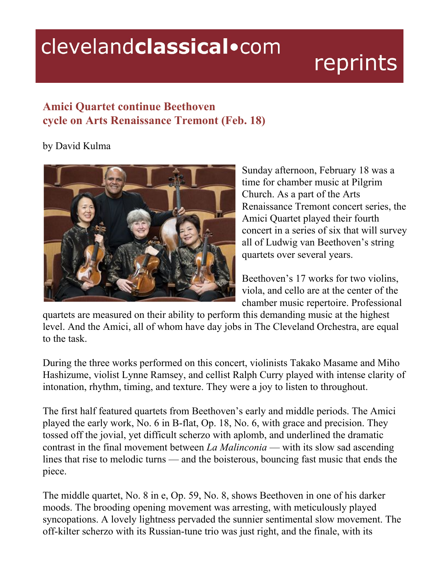## clevelandclassical.com

## reprints

## **Amici Quartet continue Beethoven cycle on Arts Renaissance Tremont (Feb. 18)**

## by David Kulma



Sunday afternoon, February 18 was a time for chamber music at Pilgrim Church. As a part of the Arts Renaissance Tremont concert series, the Amici Quartet played their fourth concert in a series of six that will survey all of Ludwig van Beethoven's string quartets over several years.

Beethoven's 17 works for two violins, viola, and cello are at the center of the chamber music repertoire. Professional

quartets are measured on their ability to perform this demanding music at the highest level. And the Amici, all of whom have day jobs in The Cleveland Orchestra, are equal to the task.

During the three works performed on this concert, violinists Takako Masame and Miho Hashizume, violist Lynne Ramsey, and cellist Ralph Curry played with intense clarity of intonation, rhythm, timing, and texture. They were a joy to listen to throughout.

The first half featured quartets from Beethoven's early and middle periods. The Amici played the early work, No. 6 in B-flat, Op. 18, No. 6, with grace and precision. They tossed off the jovial, yet difficult scherzo with aplomb, and underlined the dramatic contrast in the final movement between *La Malinconia* — with its slow sad ascending lines that rise to melodic turns — and the boisterous, bouncing fast music that ends the piece.

The middle quartet, No. 8 in e, Op. 59, No. 8, shows Beethoven in one of his darker moods. The brooding opening movement was arresting, with meticulously played syncopations. A lovely lightness pervaded the sunnier sentimental slow movement. The off-kilter scherzo with its Russian-tune trio was just right, and the finale, with its